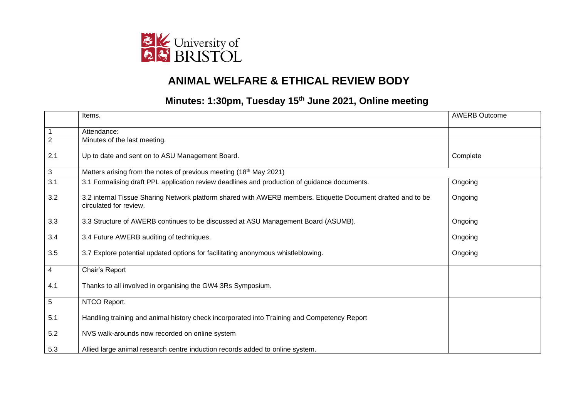

## **ANIMAL WELFARE & ETHICAL REVIEW BODY**

## **Minutes: 1:30pm, Tuesday 15 th June 2021, Online meeting**

|                | Items.                                                                                                                                 | <b>AWERB Outcome</b> |
|----------------|----------------------------------------------------------------------------------------------------------------------------------------|----------------------|
|                | Attendance:                                                                                                                            |                      |
| $\overline{2}$ | Minutes of the last meeting.                                                                                                           |                      |
| 2.1            | Up to date and sent on to ASU Management Board.                                                                                        | Complete             |
| 3              | Matters arising from the notes of previous meeting (18 <sup>th</sup> May 2021)                                                         |                      |
| 3.1            | 3.1 Formalising draft PPL application review deadlines and production of guidance documents.                                           | Ongoing              |
| 3.2            | 3.2 internal Tissue Sharing Network platform shared with AWERB members. Etiquette Document drafted and to be<br>circulated for review. | Ongoing              |
| 3.3            | 3.3 Structure of AWERB continues to be discussed at ASU Management Board (ASUMB).                                                      | Ongoing              |
| 3.4            | 3.4 Future AWERB auditing of techniques.                                                                                               | Ongoing              |
| 3.5            | 3.7 Explore potential updated options for facilitating anonymous whistleblowing.                                                       | Ongoing              |
| 4              | Chair's Report                                                                                                                         |                      |
| 4.1            | Thanks to all involved in organising the GW4 3Rs Symposium.                                                                            |                      |
| 5              | NTCO Report.                                                                                                                           |                      |
| 5.1            | Handling training and animal history check incorporated into Training and Competency Report                                            |                      |
| 5.2            | NVS walk-arounds now recorded on online system                                                                                         |                      |
| 5.3            | Allied large animal research centre induction records added to online system.                                                          |                      |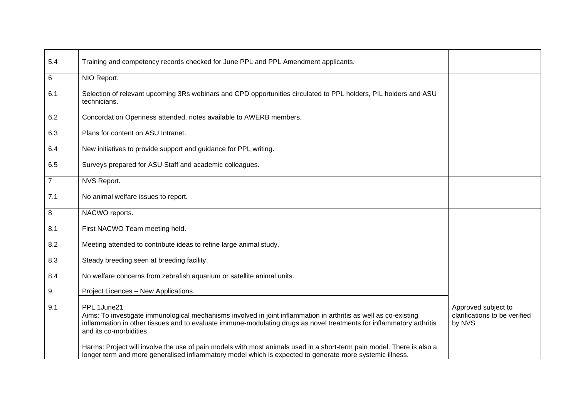| 5.4              | Training and competency records checked for June PPL and PPL Amendment applicants.                                                                                                                                                                                                 |                                                                |
|------------------|------------------------------------------------------------------------------------------------------------------------------------------------------------------------------------------------------------------------------------------------------------------------------------|----------------------------------------------------------------|
| $\,6$            | NIO Report.                                                                                                                                                                                                                                                                        |                                                                |
| 6.1              | Selection of relevant upcoming 3Rs webinars and CPD opportunities circulated to PPL holders, PIL holders and ASU<br>technicians.                                                                                                                                                   |                                                                |
| 6.2              | Concordat on Openness attended, notes available to AWERB members.                                                                                                                                                                                                                  |                                                                |
| 6.3              | Plans for content on ASU Intranet.                                                                                                                                                                                                                                                 |                                                                |
| 6.4              | New initiatives to provide support and guidance for PPL writing.                                                                                                                                                                                                                   |                                                                |
| 6.5              | Surveys prepared for ASU Staff and academic colleagues.                                                                                                                                                                                                                            |                                                                |
| $\overline{7}$   | NVS Report.                                                                                                                                                                                                                                                                        |                                                                |
| 7.1              | No animal welfare issues to report.                                                                                                                                                                                                                                                |                                                                |
| 8                | NACWO reports.                                                                                                                                                                                                                                                                     |                                                                |
| 8.1              | First NACWO Team meeting held.                                                                                                                                                                                                                                                     |                                                                |
| 8.2              | Meeting attended to contribute ideas to refine large animal study.                                                                                                                                                                                                                 |                                                                |
| 8.3              | Steady breeding seen at breeding facility.                                                                                                                                                                                                                                         |                                                                |
| 8.4              | No welfare concerns from zebrafish aquarium or satellite animal units.                                                                                                                                                                                                             |                                                                |
| $\boldsymbol{9}$ | Project Licences - New Applications.                                                                                                                                                                                                                                               |                                                                |
| 9.1              | PPL.1June21<br>Aims: To investigate immunological mechanisms involved in joint inflammation in arthritis as well as co-existing<br>inflammation in other tissues and to evaluate immune-modulating drugs as novel treatments for inflammatory arthritis<br>and its co-morbidities. | Approved subject to<br>clarifications to be verified<br>by NVS |
|                  | Harms: Project will involve the use of pain models with most animals used in a short-term pain model. There is also a<br>longer term and more generalised inflammatory model which is expected to generate more systemic illness.                                                  |                                                                |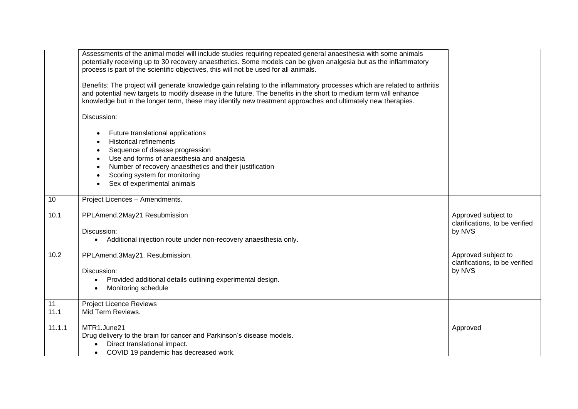|            | Assessments of the animal model will include studies requiring repeated general anaesthesia with some animals<br>potentially receiving up to 30 recovery anaesthetics. Some models can be given analgesia but as the inflammatory<br>process is part of the scientific objectives, this will not be used for all animals.<br>Benefits: The project will generate knowledge gain relating to the inflammatory processes which are related to arthritis<br>and potential new targets to modify disease in the future. The benefits in the short to medium term will enhance<br>knowledge but in the longer term, these may identify new treatment approaches and ultimately new therapies. |                                                                 |
|------------|------------------------------------------------------------------------------------------------------------------------------------------------------------------------------------------------------------------------------------------------------------------------------------------------------------------------------------------------------------------------------------------------------------------------------------------------------------------------------------------------------------------------------------------------------------------------------------------------------------------------------------------------------------------------------------------|-----------------------------------------------------------------|
|            | Discussion:                                                                                                                                                                                                                                                                                                                                                                                                                                                                                                                                                                                                                                                                              |                                                                 |
|            | Future translational applications<br><b>Historical refinements</b><br>Sequence of disease progression<br>Use and forms of anaesthesia and analgesia<br>Number of recovery anaesthetics and their justification<br>Scoring system for monitoring<br>Sex of experimental animals                                                                                                                                                                                                                                                                                                                                                                                                           |                                                                 |
| 10         | Project Licences - Amendments.                                                                                                                                                                                                                                                                                                                                                                                                                                                                                                                                                                                                                                                           |                                                                 |
| 10.1       | PPLAmend.2May21 Resubmission<br>Discussion:<br>Additional injection route under non-recovery anaesthesia only.<br>$\bullet$                                                                                                                                                                                                                                                                                                                                                                                                                                                                                                                                                              | Approved subject to<br>clarifications, to be verified<br>by NVS |
| 10.2       | PPLAmend.3May21. Resubmission.<br>Discussion:<br>Provided additional details outlining experimental design.<br>$\bullet$<br>Monitoring schedule<br>$\bullet$                                                                                                                                                                                                                                                                                                                                                                                                                                                                                                                             | Approved subject to<br>clarifications, to be verified<br>by NVS |
| 11<br>11.1 | <b>Project Licence Reviews</b><br>Mid Term Reviews.                                                                                                                                                                                                                                                                                                                                                                                                                                                                                                                                                                                                                                      |                                                                 |
| 11.1.1     | MTR1.June21<br>Drug delivery to the brain for cancer and Parkinson's disease models.<br>Direct translational impact.<br>$\bullet$<br>COVID 19 pandemic has decreased work.<br>$\bullet$                                                                                                                                                                                                                                                                                                                                                                                                                                                                                                  | Approved                                                        |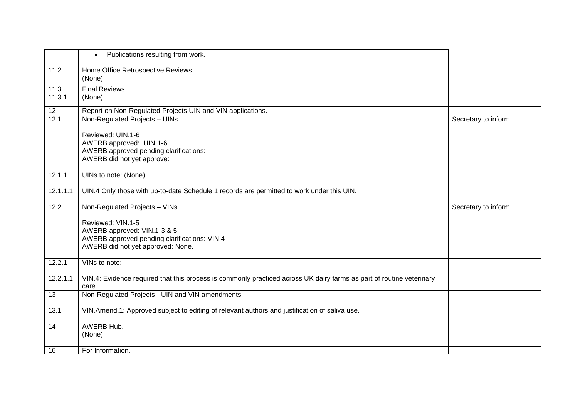|                 | Publications resulting from work.<br>$\bullet$                                                                                        |                     |
|-----------------|---------------------------------------------------------------------------------------------------------------------------------------|---------------------|
| 11.2            | Home Office Retrospective Reviews.<br>(None)                                                                                          |                     |
| 11.3<br>11.3.1  | Final Reviews.<br>(None)                                                                                                              |                     |
| 12              | Report on Non-Regulated Projects UIN and VIN applications.                                                                            |                     |
| 12.1            | Non-Regulated Projects - UINs                                                                                                         | Secretary to inform |
|                 | Reviewed: UIN.1-6<br>AWERB approved: UIN.1-6<br>AWERB approved pending clarifications:<br>AWERB did not yet approve:                  |                     |
| 12.1.1          | UINs to note: (None)                                                                                                                  |                     |
| 12.1.1.1        | UIN.4 Only those with up-to-date Schedule 1 records are permitted to work under this UIN.                                             |                     |
| 12.2            | Non-Regulated Projects - VINs.                                                                                                        | Secretary to inform |
|                 | Reviewed: VIN.1-5<br>AWERB approved: VIN.1-3 & 5<br>AWERB approved pending clarifications: VIN.4<br>AWERB did not yet approved: None. |                     |
| 12.2.1          | VINs to note:                                                                                                                         |                     |
| 12.2.1.1        | VIN.4: Evidence required that this process is commonly practiced across UK dairy farms as part of routine veterinary<br>care.         |                     |
| $\overline{13}$ | Non-Regulated Projects - UIN and VIN amendments                                                                                       |                     |
| 13.1            | VIN.Amend.1: Approved subject to editing of relevant authors and justification of saliva use.                                         |                     |
| 14              | AWERB Hub.<br>(None)                                                                                                                  |                     |
| 16              | For Information.                                                                                                                      |                     |